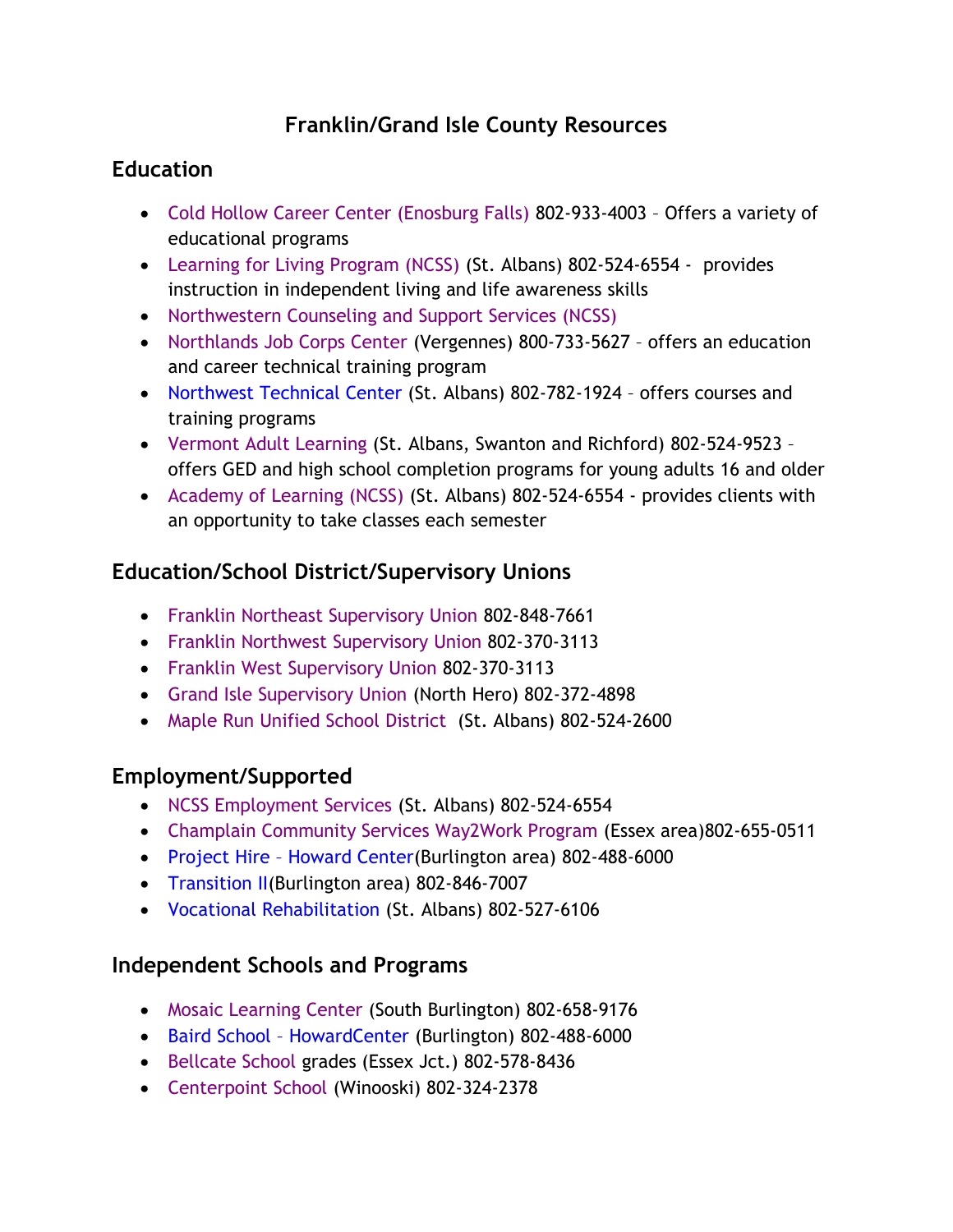# **Franklin/Grand Isle County Resources**

### **Education**

- [Cold Hollow Career Center \(Enosburg Falls\)](https://www.chccvt.net/) 802-933-4003 Offers a variety of educational programs
- [Learning for Living Program \(NCSS\)](https://www.ncssinc.org/developmental-services/academy-of-learning) (St. Albans) 802-524-6554 provides instruction in independent living and life awareness skills
- [Northwestern Counseling and Support Services \(NCSS\)](http://www.ncssinc.org/)
- [Northlands Job Corps Center](https://northlands.jobcorps.gov/) (Vergennes) 800-733-5627 offers an education and career technical training program
- [Northwest Technical Center](https://www.maplerun.org/o/nwtc) (St. Albans) 802-782-1924 offers courses and training programs
- [Vermont Adult Learning](http://www.vtadultlearning.org/franklin-grand-isle-counties/) (St. Albans, Swanton and Richford) 802-524-9523 offers GED and high school completion programs for young adults 16 and older
- [Academy of Learning \(NCSS\)](https://www.ncssinc.org/developmental-services/academy-of-learning) (St. Albans) 802-524-6554 provides clients with an opportunity to take classes each semester

## **Education/School District/Supervisory Unions**

- [Franklin Northeast Supervisory Union](http://www.fnesu.net/) 802-848-7661
- [Franklin Northwest Supervisory Union](http://eweaver4.wixsite.com/fnwsu) 802-370-3113
- [Franklin West Supervisory Union](https://www.fwsu.org/) 802-370-3113
- [Grand Isle Supervisory Union](http://www.gisu.org/) (North Hero) 802-372-4898
- [Maple Run Unified School](http://www.maplerun.org/) District (St. Albans) 802-524-2600

## **Employment/Supported**

- [NCSS Employment Services](http://www.ncssinc.org/developmental-services/ds-employment-services) (St. Albans) 802-524-6554
- [Champlain Community Services Way2Work Program](http://ccs-vt.org/?page_id=34) (Essex area)802-655-0511
- Project Hire [Howard Center\(](https://howardcenter.org/developmental-services/employment/)Burlington area) 802-488-6000
- [Transition II\(](https://ddsd.vermont.gov/services-providers/self-management)Burlington area) 802-846-7007
- [Vocational Rehabilitation](https://vocrehab.vermont.gov/) (St. Albans) 802-527-6106

## **Independent Schools and Programs**

- [Mosaic Learning Center](http://mosaiclearningcenter.com/) (South Burlington) 802-658-9176
- Baird School [HowardCenter](http://howardcenter.org/baird-school/) (Burlington) 802-488-6000
- [Bellcate School](http://www.bellcate.com/enrollment/) grades (Essex Jct.) 802-578-8436
- [Centerpoint School](http://centerpointservices.org/our-services/educational-school-programs/) (Winooski) 802-324-2378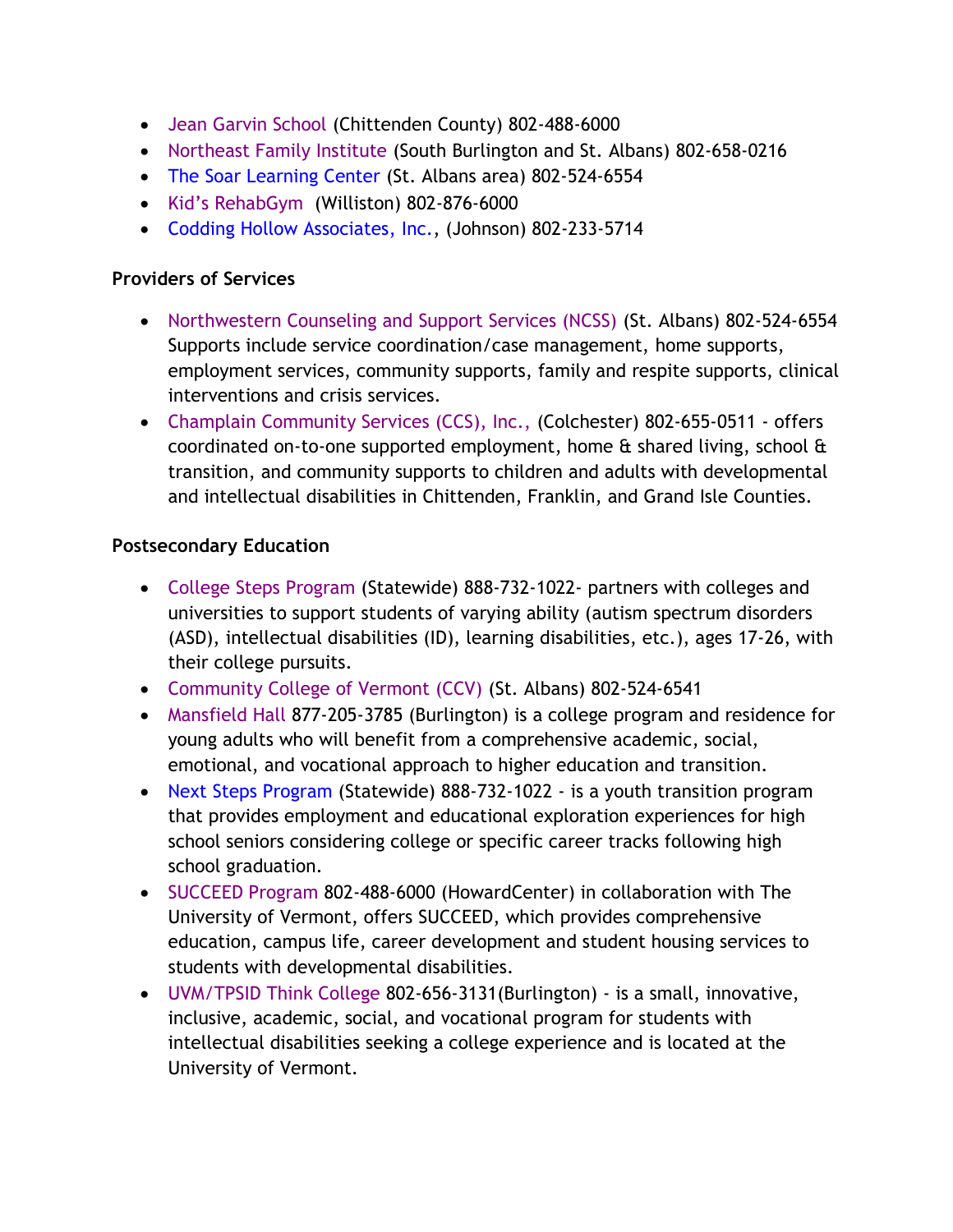- [Jean Garvin School](http://www.howardcenter.org/jeangarvinschool/index.php) (Chittenden County) 802-488-6000
- [Northeast Family Institute](http://www.nfivermont.org/contact/) (South Burlington and St. Albans) 802-658-0216
- [The Soar Learning Center](https://www.ncssinc.org/children-youth-family-services/soar-learning-center) (St. Albans area) 802-524-6554
- [Kid's RehabGym](http://www.rehabgym.com/contact-us/kids-rehabgym/) (Williston) 802-876-6000
- [Codding Hollow Associates,](https://www.facebook.com/Codding-Hollow-Associates-Inc-312882415435813/) Inc., (Johnson) 802-233-5714

#### **Providers of Services**

- [Northwestern Counseling and Support Services \(NCSS\)](http://www.ncssinc.org/) (St. Albans) 802-524-6554 Supports include service coordination/case management, home supports, employment services, community supports, family and respite supports, clinical interventions and crisis services.
- [Champlain Community Services \(CCS\), Inc.,](http://ccs-vt.org/) (Colchester) 802-655-0511 offers coordinated on-to-one supported employment, home & shared living, school & transition, and community supports to children and adults with developmental and intellectual disabilities in Chittenden, Franklin, and Grand Isle Counties.

#### **Postsecondary Education**

- [College Steps Program](http://www.collegesteps.org/) (Statewide) 888-732-1022- partners with colleges and universities to support students of varying ability (autism spectrum disorders (ASD), intellectual disabilities (ID), learning disabilities, etc.), ages 17-26, with their college pursuits.
- [Community College of Vermont \(CCV\)](http://ccv.edu/location/ccv-st-albans/) (St. Albans) 802-524-6541
- [Mansfield Hall](http://www.mansfieldhall.org/giving/) 877-205-3785 (Burlington) is a college program and residence for young adults who will benefit from a comprehensive academic, social, emotional, and vocational approach to higher education and transition.
- [Next Steps Program](http://www.collegesteps.org/) (Statewide) 888-732-1022 is a youth transition program that provides employment and educational exploration experiences for high school seniors considering college or specific career tracks following high school graduation.
- [SUCCEED Program](http://www.howardcenter.org/SUCCEED) 802-488-6000 (HowardCenter) in collaboration with The University of Vermont, offers SUCCEED, which provides comprehensive education, campus life, career development and student housing services to students with developmental disabilities.
- [UVM/TPSID Think College](http://www.uvm.edu/~cdci/thinkcollege/) 802-656-3131(Burlington) is a small, innovative, inclusive, academic, social, and vocational program for students with intellectual disabilities seeking a college experience and is located at the University of Vermont.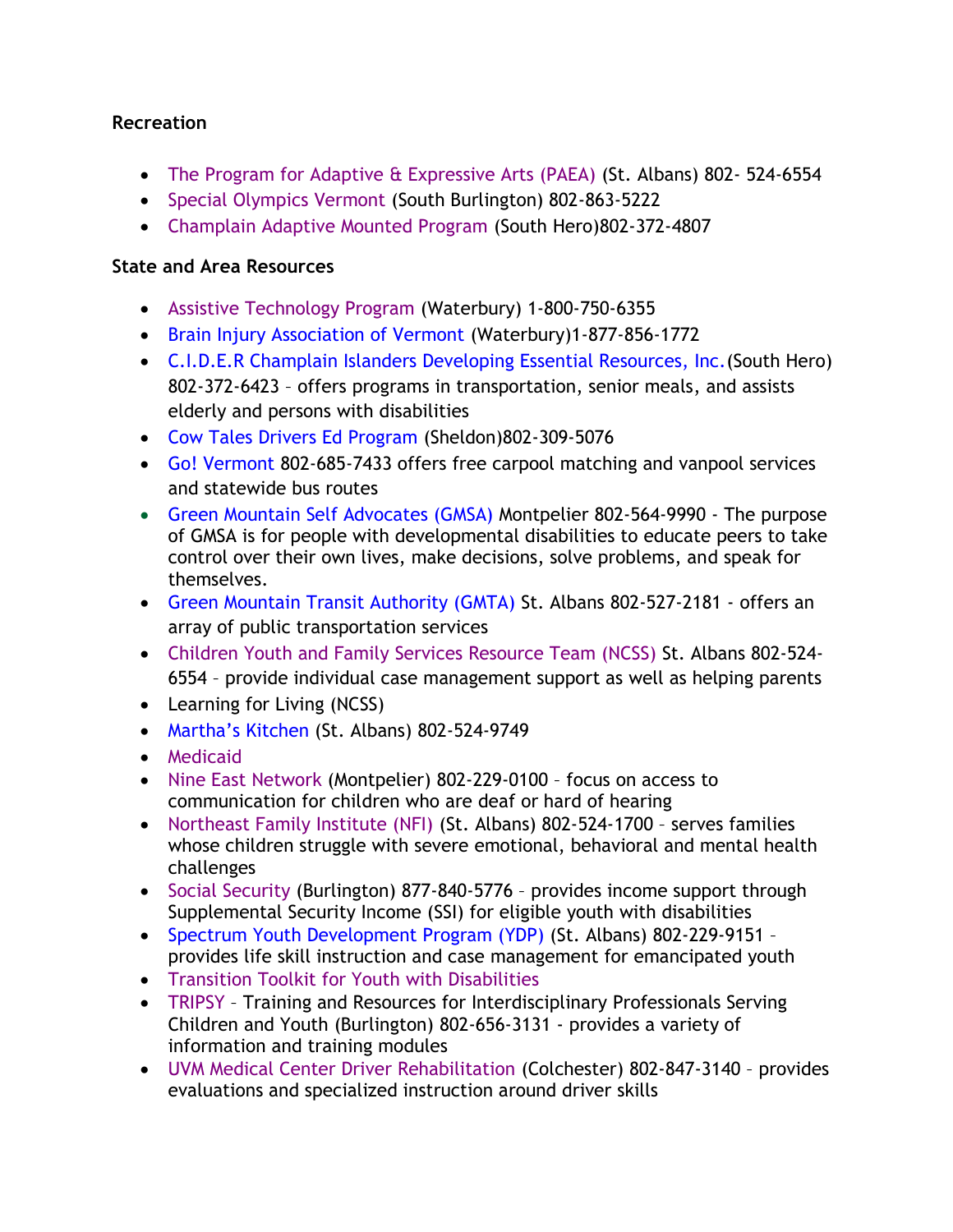#### **Recreation**

- [The Program for Adaptive & Expressive Arts \(PAEA\)](http://www.ncssinc.org/developmental-services/ds-music-and-art-program) (St. Albans) 802- 524-6554
- [Special Olympics](https://specialolympicsvermont.org/) Vermont (South Burlington) 802-863-5222
- [Champlain Adaptive Mounted Program](http://www.vtchamp.org/) (South Hero)802-372-4807

#### **State and Area Resources**

- [Assistive Technology Program](http://atp.vermont.gov/) (Waterbury) 1-800-750-6355
- [Brain Injury Association of Vermont](http://www.biavt.org/) (Waterbury)1-877-856-1772
- C.I.D.E.R [Champlain Islanders Developing Essential Resources, Inc.\(](http://www.cidervt.org/about/)South Hero) 802-372-6423 – offers programs in transportation, senior meals, and assists elderly and persons with disabilities
- [Cow Tales Drivers Ed Program](http://www.cowtalesdrivereducation.com/class-info.html) (Sheldon)802-309-5076
- [Go! Vermont](http://www.connectingcommuters.org/) 802-685-7433 offers free carpool matching and vanpool services and statewide bus routes
- [Green Mountain Self Advocates \(GMSA\)](http://www.gmsavt.org/) Montpelier 802-564-9990 The purpose of GMSA is for people with developmental disabilities to educate peers to take control over their own lives, make decisions, solve problems, and speak for themselves.
- [Green Mountain Transit Authority \(GMTA\)](http://ridegmt.com/regions/franklingrand-isle-counties/) St. Albans 802-527-2181 offers an array of public transportation services
- Children Youth and Family [Services Resource Team \(NCSS\)](https://www.ncssinc.org/children-youth-family-services/family-support-services) St. Albans 802-524- 6554 – provide individual case management support as well as helping parents
- Learning for Living (NCSS)
- [Martha's Kitchen](https://marthascommunitykitchen802.org/) (St. Albans) 802-524-9749
- [Medicaid](http://www.vtmedicaid.com/#/home)
- [Nine East Network](http://www.9east.net/) (Montpelier) 802-229-0100 focus on access to communication for children who are deaf or hard of hearing
- [Northeast Family Institute \(NFI\)](http://www.nfivermont.org/) (St. Albans) 802-524-1700 serves families whose children struggle with severe emotional, behavioral and mental health challenges
- [Social Security](https://www.ssa.gov/) (Burlington) 877-840-5776 provides income support through Supplemental Security Income (SSI) for eligible youth with disabilities
- Spectrum [Youth Development Program \(YDP\)](http://www.spectrumvt.org/what-we-do/skills-program/) (St. Albans) 802-229-9151 provides life skill instruction and case management for emancipated youth
- [Transition Toolkit for Youth with Disabilities](http://www.vermontfamilynetwork.org/services/transition/transition-to-adulthood-toolkit/)
- [TRIPSY](http://www.uvm.edu/~cdci/tripscy/) Training and Resources for Interdisciplinary Professionals Serving Children and Youth (Burlington) 802-656-3131 - provides a variety of information and training modules
- [UVM Medical Center Driver Rehabilitation](https://www.uvmhealth.org/medcenter/Pages/Departments-and-Programs/Driver-Rehabilitation.aspx) (Colchester) 802-847-3140 provides evaluations and specialized instruction around driver skills